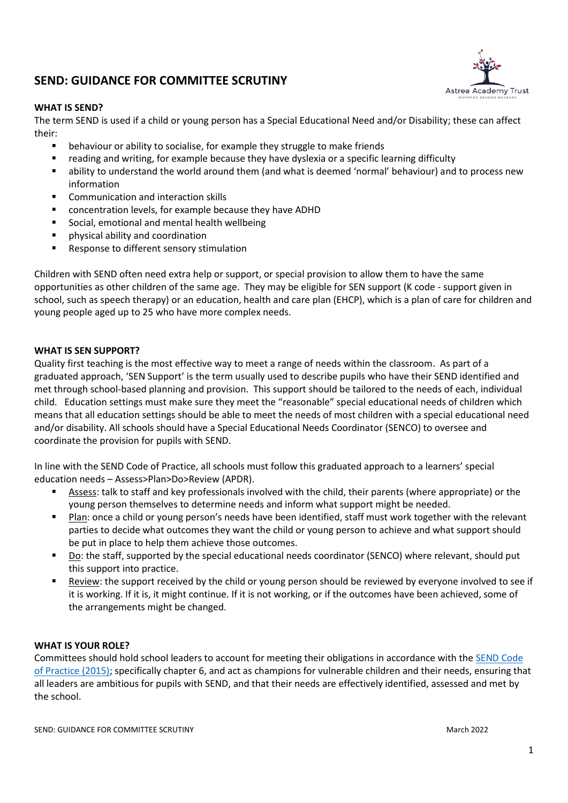# **SEND: GUIDANCE FOR COMMITTEE SCRUTINY**



The term SEND is used if a child or young person has a Special Educational Need and/or Disability; these can affect their:

- behaviour or ability to socialise, for example they struggle to make friends
- reading and writing, for example because they have dyslexia or a specific learning difficulty
- ability to understand the world around them (and what is deemed 'normal' behaviour) and to process new information
- Communication and interaction skills
- concentration levels, for example because they have ADHD
- **Social, emotional and mental health wellbeing**
- physical ability and coordination
- **Response to different sensory stimulation**

Children with SEND often need extra help or support, or special provision to allow them to have the same opportunities as other children of the same age. They may be eligible for SEN support (K code - support given in school, such as speech therapy) or an education, health and care plan (EHCP), which is a plan of care for children and young people aged up to 25 who have more complex needs.

## **WHAT IS SEN SUPPORT?**

Quality first teaching is the most effective way to meet a range of needs within the classroom. As part of a graduated approach, 'SEN Support' is the term usually used to describe pupils who have their SEND identified and met through school-based planning and provision. This support should be tailored to the needs of each, individual child. Education settings must make sure they meet the "reasonable" special educational needs of children which means that all education settings should be able to meet the needs of most children with a special educational need and/or disability. All schools should have a Special Educational Needs Coordinator (SENCO) to oversee and coordinate the provision for pupils with SEND.

In line with the SEND Code of Practice, all schools must follow this graduated approach to a learners' special education needs – Assess>Plan>Do>Review (APDR).

- Assess: talk to staff and key professionals involved with the child, their parents (where appropriate) or the young person themselves to determine needs and inform what support might be needed.
- **Plan: once a child or young person's needs have been identified, staff must work together with the relevant** parties to decide what outcomes they want the child or young person to achieve and what support should be put in place to help them achieve those outcomes.
- Do: the staff, supported by the special educational needs coordinator (SENCO) where relevant, should put this support into practice.
- Review: the support received by the child or young person should be reviewed by everyone involved to see if it is working. If it is, it might continue. If it is not working, or if the outcomes have been achieved, some of the arrangements might be changed.

## **WHAT IS YOUR ROLE?**

Committees should hold school leaders to account for meeting their obligations in accordance with the [SEND Code](https://assets.publishing.service.gov.uk/government/uploads/system/uploads/attachment_data/file/398815/SEND_Code_of_Practice_January_2015.pdf)  [of Practice \(2015\);](https://assets.publishing.service.gov.uk/government/uploads/system/uploads/attachment_data/file/398815/SEND_Code_of_Practice_January_2015.pdf) specifically chapter 6, and act as champions for vulnerable children and their needs, ensuring that all leaders are ambitious for pupils with SEND, and that their needs are effectively identified, assessed and met by the school.

**Astrea Academy Trust**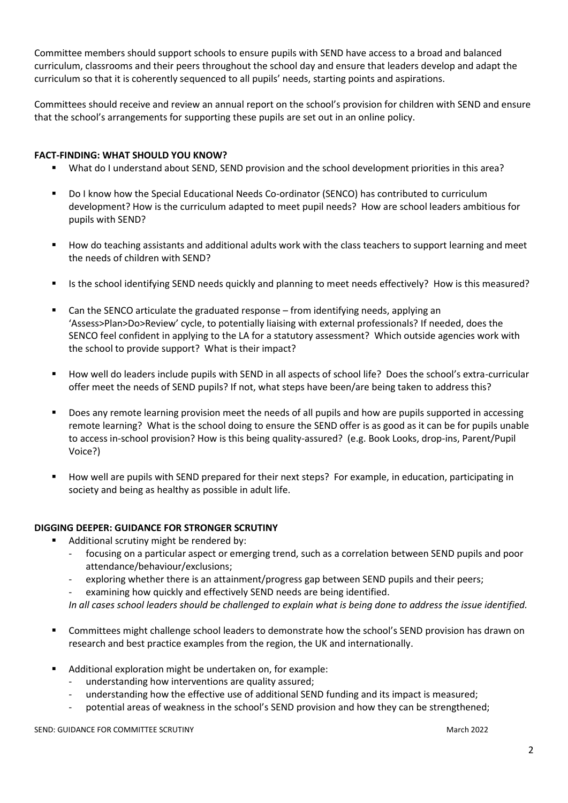Committee members should support schools to ensure pupils with SEND have access to a broad and balanced curriculum, classrooms and their peers throughout the school day and ensure that leaders develop and adapt the curriculum so that it is coherently sequenced to all pupils' needs, starting points and aspirations.

Committees should receive and review an annual report on the school's provision for children with SEND and ensure that the school's arrangements for supporting these pupils are set out in an online policy.

## **FACT-FINDING: WHAT SHOULD YOU KNOW?**

- What do I understand about SEND, SEND provision and the school development priorities in this area?
- Do I know how the Special Educational Needs Co-ordinator (SENCO) has contributed to curriculum development? How is the curriculum adapted to meet pupil needs? How are school leaders ambitious for pupils with SEND?
- How do teaching assistants and additional adults work with the class teachers to support learning and meet the needs of children with SEND?
- Is the school identifying SEND needs quickly and planning to meet needs effectively? How is this measured?
- Can the SENCO articulate the graduated response from identifying needs, applying an 'Assess>Plan>Do>Review' cycle, to potentially liaising with external professionals? If needed, does the SENCO feel confident in applying to the LA for a statutory assessment? Which outside agencies work with the school to provide support? What is their impact?
- How well do leaders include pupils with SEND in all aspects of school life? Does the school's extra-curricular offer meet the needs of SEND pupils? If not, what steps have been/are being taken to address this?
- Does any remote learning provision meet the needs of all pupils and how are pupils supported in accessing remote learning? What is the school doing to ensure the SEND offer is as good as it can be for pupils unable to access in-school provision? How is this being quality-assured? (e.g. Book Looks, drop-ins, Parent/Pupil Voice?)
- How well are pupils with SEND prepared for their next steps? For example, in education, participating in society and being as healthy as possible in adult life.

## **DIGGING DEEPER: GUIDANCE FOR STRONGER SCRUTINY**

- Additional scrutiny might be rendered by:
	- focusing on a particular aspect or emerging trend, such as a correlation between SEND pupils and poor attendance/behaviour/exclusions;
	- exploring whether there is an attainment/progress gap between SEND pupils and their peers;
	- examining how quickly and effectively SEND needs are being identified.

*In all cases school leaders should be challenged to explain what is being done to address the issue identified.*

- Committees might challenge school leaders to demonstrate how the school's SEND provision has drawn on research and best practice examples from the region, the UK and internationally.
- Additional exploration might be undertaken on, for example:
	- understanding how interventions are quality assured;
	- understanding how the effective use of additional SEND funding and its impact is measured;
	- potential areas of weakness in the school's SEND provision and how they can be strengthened;